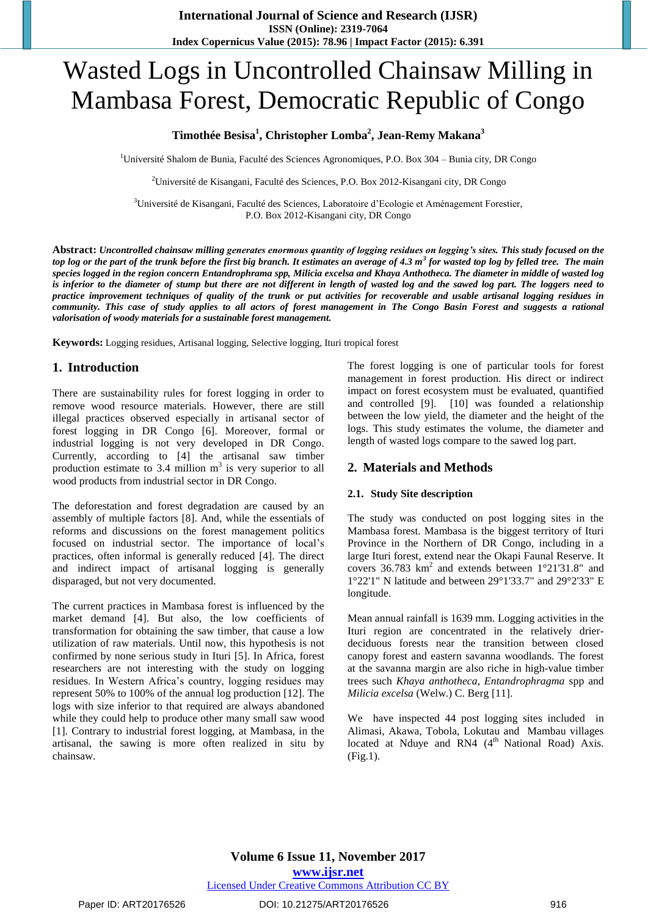# Wasted Logs in Uncontrolled Chainsaw Milling in Mambasa Forest, Democratic Republic of Congo

# **Timothée Besisa<sup>1</sup> , Christopher Lomba<sup>2</sup> , Jean-Remy Makana<sup>3</sup>**

 $1$ Université Shalom de Bunia, Faculté des Sciences Agronomiques, P.O. Box 304 – Bunia city, DR Congo

<sup>2</sup>Université de Kisangani, Faculté des Sciences, P.O. Box 2012-Kisangani city, DR Congo

<sup>3</sup>Université de Kisangani, Faculté des Sciences, Laboratoire d'Ecologie et Aménagement Forestier, P.O. Box 2012-Kisangani city, DR Congo

**Abstract:** *Uncontrolled chainsaw milling generates enormous quantity of logging residues on logging's sites. This study focused on the top log or the part of the trunk before the first big branch. It estimates an average of 4.3 m<sup>3</sup> for wasted top log by felled tree. The main species logged in the region concern Entandrophrama spp, Milicia excelsa and Khaya Anthotheca. The diameter in middle of wasted log is inferior to the diameter of stump but there are not different in length of wasted log and the sawed log part. The loggers need to practice improvement techniques of quality of the trunk or put activities for recoverable and usable artisanal logging residues in community. This case of study applies to all actors of forest management in The Congo Basin Forest and suggests a rational valorisation of woody materials for a sustainable forest management.*

**Keywords:** Logging residues, Artisanal logging, Selective logging, Ituri tropical forest

## **1. Introduction**

There are sustainability rules for forest logging in order to remove wood resource materials. However, there are still illegal practices observed especially in artisanal sector of forest logging in DR Congo [6]. Moreover, formal or industrial logging is not very developed in DR Congo. Currently, according to [4] the artisanal saw timber production estimate to  $3.4$  million  $m<sup>3</sup>$  is very superior to all wood products from industrial sector in DR Congo.

The deforestation and forest degradation are caused by an assembly of multiple factors [8]. And, while the essentials of reforms and discussions on the forest management politics focused on industrial sector. The importance of local's practices, often informal is generally reduced [4]. The direct and indirect impact of artisanal logging is generally disparaged, but not very documented.

The current practices in Mambasa forest is influenced by the market demand [4]. But also, the low coefficients of transformation for obtaining the saw timber, that cause a low utilization of raw materials. Until now, this hypothesis is not confirmed by none serious study in Ituri [5]. In Africa, forest researchers are not interesting with the study on logging residues. In Western Africa's country, logging residues may represent 50% to 100% of the annual log production [12]. The logs with size inferior to that required are always abandoned while they could help to produce other many small saw wood [1]. Contrary to industrial forest logging, at Mambasa, in the artisanal, the sawing is more often realized in situ by chainsaw.

The forest logging is one of particular tools for forest management in forest production. His direct or indirect impact on forest ecosystem must be evaluated, quantified and controlled [9]. [10] was founded a relationship between the low yield, the diameter and the height of the logs. This study estimates the volume, the diameter and length of wasted logs compare to the sawed log part.

## **2. Materials and Methods**

#### **2.1. Study Site description**

The study was conducted on post logging sites in the Mambasa forest. Mambasa is the biggest territory of Ituri Province in the Northern of DR Congo, including in a large Ituri forest, extend near the Okapi Faunal Reserve. It covers 36.783 km<sup>2</sup> and extends between 1°21'31.8" and 1°22'1" N latitude and between 29°1'33.7" and 29°2'33" E longitude.

Mean annual rainfall is 1639 mm. Logging activities in the Ituri region are concentrated in the relatively drierdeciduous forests near the transition between closed canopy forest and eastern savanna woodlands. The forest at the savanna margin are also riche in high-value timber trees such *Khaya anthotheca*, *Entandrophragma* spp and *Milicia excelsa* (Welw.) C. Berg [11].

We have inspected 44 post logging sites included in Alimasi, Akawa, Tobola, Lokutau and Mambau villages located at Nduye and RN4  $(4<sup>th</sup>$  National Road) Axis. (Fig.1).

**Volume 6 Issue 11, November 2017 <www.ijsr.net>**

[Licensed Under Creative Commons](http://creativecommons.org/licenses/by/4.0/) Attribution CC BY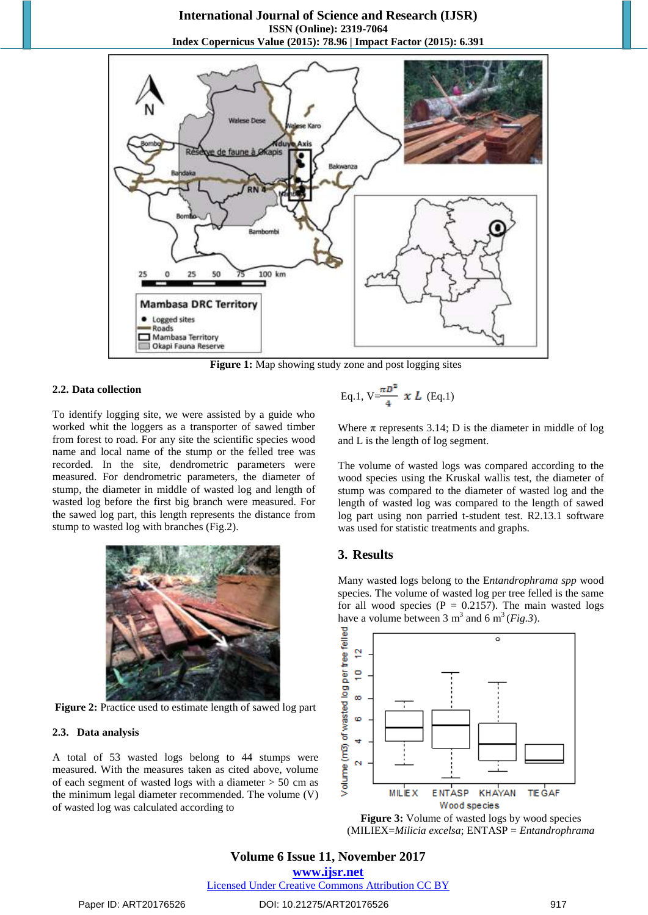### **International Journal of Science and Research (IJSR) ISSN (Online): 2319-7064 Index Copernicus Value (2015): 78.96 | Impact Factor (2015): 6.391**



**Figure 1:** Map showing study zone and post logging sites

#### **2.2. Data collection**

To identify logging site, we were assisted by a guide who worked whit the loggers as a transporter of sawed timber from forest to road. For any site the scientific species wood name and local name of the stump or the felled tree was recorded. In the site, dendrometric parameters were measured. For dendrometric parameters, the diameter of stump, the diameter in middle of wasted log and length of wasted log before the first big branch were measured. For the sawed log part, this length represents the distance from stump to wasted log with branches (Fig.2).



**Figure 2:** Practice used to estimate length of sawed log part

#### **2.3. Data analysis**

A total of 53 wasted logs belong to 44 stumps were measured. With the measures taken as cited above, volume of each segment of wasted logs with a diameter > 50 cm as the minimum legal diameter recommended. The volume (V) of wasted log was calculated according to

Eq.1, 
$$
V = \frac{\pi D^2}{4} \times L
$$
 (Eq.1)

Where  $\pi$  represents 3.14; D is the diameter in middle of log and L is the length of log segment.

The volume of wasted logs was compared according to the wood species using the Kruskal wallis test, the diameter of stump was compared to the diameter of wasted log and the length of wasted log was compared to the length of sawed log part using non parried t-student test. R2.13.1 software was used for statistic treatments and graphs.

#### **3. Results**

Many wasted logs belong to the E*ntandrophrama spp* wood species. The volume of wasted log per tree felled is the same for all wood species ( $P = 0.2157$ ). The main wasted logs have a volume between 3  $m^3$  and 6  $m^3$  (*Fig.3*).





# **Volume 6 Issue 11, November 2017**

**<www.ijsr.net>**

[Licensed Under Creative Commons](http://creativecommons.org/licenses/by/4.0/) Attribution CC BY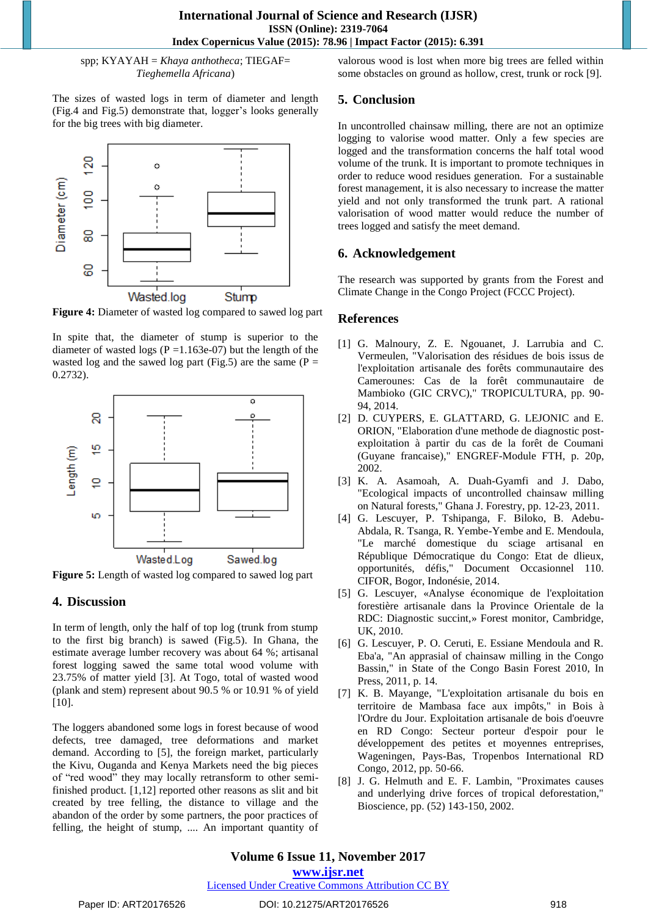spp; KYAYAH = *Khaya anthotheca*; TIEGAF= *Tieghemella Africana*)

The sizes of wasted logs in term of diameter and length (Fig.4 and Fig.5) demonstrate that, logger's looks generally for the big trees with big diameter.



**Figure 4:** Diameter of wasted log compared to sawed log part

In spite that, the diameter of stump is superior to the diameter of wasted logs ( $P = 1.163e-07$ ) but the length of the wasted log and the sawed log part (Fig.5) are the same ( $P =$ 0.2732).



**Figure 5:** Length of wasted log compared to sawed log part

# **4. Discussion**

In term of length, only the half of top log (trunk from stump to the first big branch) is sawed (Fig.5). In Ghana, the estimate average lumber recovery was about 64 %; artisanal forest logging sawed the same total wood volume with 23.75% of matter yield [3]. At Togo, total of wasted wood (plank and stem) represent about 90.5 % or 10.91 % of yield [10].

The loggers abandoned some logs in forest because of wood defects, tree damaged, tree deformations and market demand. According to [5], the foreign market, particularly the Kivu, Ouganda and Kenya Markets need the big pieces of "red wood" they may locally retransform to other semifinished product. [1,12] reported other reasons as slit and bit created by tree felling, the distance to village and the abandon of the order by some partners, the poor practices of felling, the height of stump, .... An important quantity of valorous wood is lost when more big trees are felled within some obstacles on ground as hollow, crest, trunk or rock [9].

# **5. Conclusion**

In uncontrolled chainsaw milling, there are not an optimize logging to valorise wood matter. Only a few species are logged and the transformation concerns the half total wood volume of the trunk. It is important to promote techniques in order to reduce wood residues generation. For a sustainable forest management, it is also necessary to increase the matter yield and not only transformed the trunk part. A rational valorisation of wood matter would reduce the number of trees logged and satisfy the meet demand.

# **6. Acknowledgement**

The research was supported by grants from the Forest and Climate Change in the Congo Project (FCCC Project).

# **References**

- [1] G. Malnoury, Z. E. Ngouanet, J. Larrubia and C. Vermeulen, "Valorisation des résidues de bois issus de l'exploitation artisanale des forêts communautaire des Camerounes: Cas de la forêt communautaire de Mambioko (GIC CRVC)," TROPICULTURA, pp. 90- 94, 2014.
- [2] D. CUYPERS, E. GLATTARD, G. LEJONIC and E. ORION, "Elaboration d'une methode de diagnostic postexploitation à partir du cas de la forêt de Coumani (Guyane francaise)," ENGREF-Module FTH, p. 20p, 2002.
- [3] K. A. Asamoah, A. Duah-Gyamfi and J. Dabo, "Ecological impacts of uncontrolled chainsaw milling on Natural forests," Ghana J. Forestry, pp. 12-23, 2011.
- [4] G. Lescuyer, P. Tshipanga, F. Biloko, B. Adebu-Abdala, R. Tsanga, R. Yembe-Yembe and E. Mendoula, "Le marché domestique du sciage artisanal en République Démocratique du Congo: Etat de dlieux, opportunités, défis," Document Occasionnel 110. CIFOR, Bogor, Indonésie, 2014.
- [5] G. Lescuyer, «Analyse économique de l'exploitation forestière artisanale dans la Province Orientale de la RDC: Diagnostic succint,» Forest monitor, Cambridge, UK, 2010.
- [6] G. Lescuyer, P. O. Ceruti, E. Essiane Mendoula and R. Eba'a, "An apprasial of chainsaw milling in the Congo Bassin," in State of the Congo Basin Forest 2010, In Press, 2011, p. 14.
- [7] K. B. Mayange, "L'exploitation artisanale du bois en territoire de Mambasa face aux impôts," in Bois à l'Ordre du Jour. Exploitation artisanale de bois d'oeuvre en RD Congo: Secteur porteur d'espoir pour le développement des petites et moyennes entreprises, Wageningen, Pays-Bas, Tropenbos International RD Congo, 2012, pp. 50-66.
- [8] J. G. Helmuth and E. F. Lambin, "Proximates causes and underlying drive forces of tropical deforestation," Bioscience, pp. (52) 143-150, 2002.

**<www.ijsr.net>**

## [Licensed Under Creative Commons](http://creativecommons.org/licenses/by/4.0/) Attribution CC BY